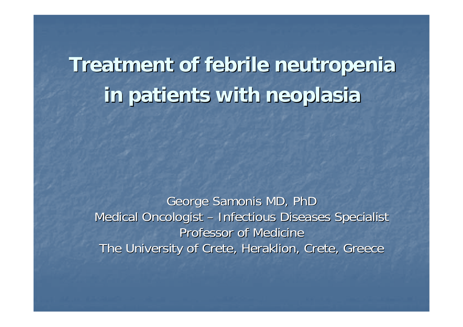## **Treatment of febrile Treatment of febrile neutropenia neutropenia in patients with in patients with neoplasia neoplasia**

George Samonis MD, PhD Medical Oncologist –**- Infectious Diseases Specialist** Professor of Medicine The University of Crete, Heraklion, Crete, Greece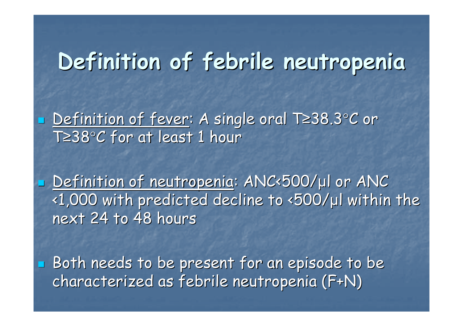### **Definition of febrile neutropenia Definition of febrile neutropenia**

■ <u>Definition of fever</u>: A single oral T≥38.3°C or T≥38°C for at least 1 hour

Π ■ <u>Definition of neutropenia</u>: ANC<500/µl or ANC <1,000 with predicted decline to <500/ <1,000 with predicted decline to <500/ μl within the l within the next 24 to 48 hours

 $\blacksquare$  Both needs to be present for an episode to be characterized as febrile neutropenia (F+N) characterized as febrile neutropenia (F+N)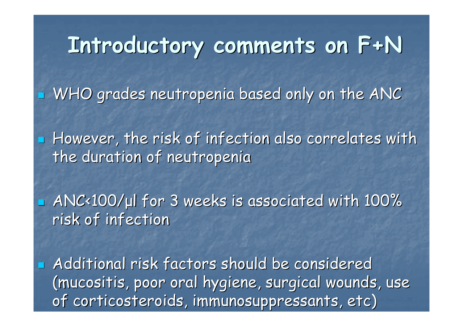## **Introductory comments on F+N Introductory comments on F+N**

 $\blacksquare$  WHO grades neutropenia based only on the ANC

 $\blacksquare$  However, the risk of infection also correlates with the duration of neutropenia

**ANC<100/µl for 3 weeks is associated with 100%** risk of infection

**Additional risk factors should be considered** (mucositis, poor oral hygiene, surgical wounds, use of corticosteroids, immunosuppressants, etc)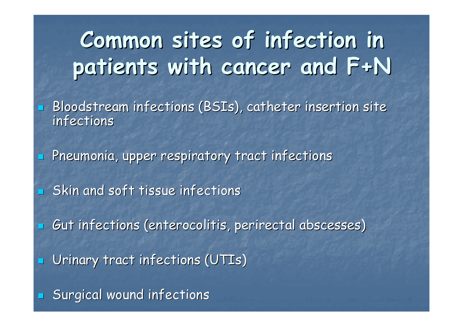## **Common sites of infection in Common sites of infection in patients with cancer and F+N patients with cancer and F+N**

- $\mathbb{R}^2$ Bloodstream infections (BSIs), catheter insertion site infections infections
- $\mathbb{R}^2$  $\blacksquare$  Pneumonia, upper respiratory tract infections
- $\blacksquare$  Skin and soft tissue infections
- $\mathbb{R}^2$  $\Box$  Gut infections (enterocolitis, perirectal abscesses)
- $\mathbb{R}^2$ Urinary tract infections (UTIs)
- $\mathbb{R}^2$  $\blacksquare$  Surgical wound infections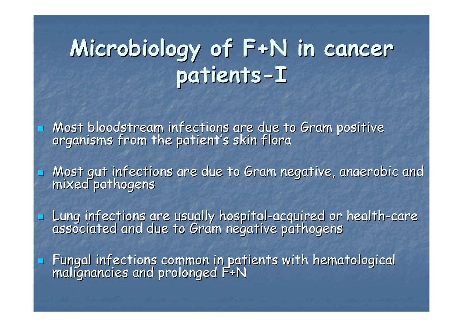#### **Microbiology of F+N in cancer Microbiology of F+N in cancer patients patients -I**

 $\mathbb{R}^2$ Most bloodstream infections are due to Gram positive<br>organisms from the patient's skin flora

 $\mathbb{R}^2$ 

 $\mathbb{R}^2$ 

 $\mathbb{R}^2$ Most gut infections are due to Gram negative, anaerobic and Gram negative, anaerobic and mixed pathogens

Lung infections are usually hospital Lung infections are usually hospital -acquired or health acquired or health -care associated and due to Gram negative pathogens associated and due to Gram negative pathogens

**Fungal infections common in patients with hematological malignancies and prolonged F+N**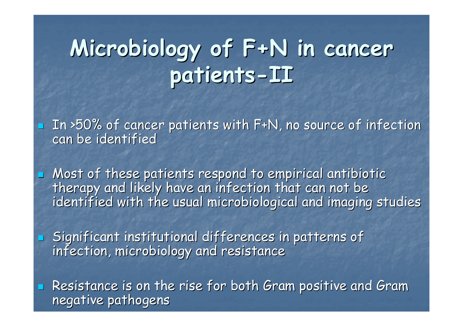# **Microbiology of F+N in cancer Microbiology of F+N in cancer patients patients -II**

In >50% of cancer patients with F+N, no source of infection<br>can be identified

• Most of these patients respond to empirical antibiotic therapy and likely have an infection that can not be<br>identified with the usual microbiological and imaging studies

Significant institutional differences in patterns of Significant institutional differences in patterns of infection, microbiology and resistance infection, microbiology and resistance

 $\mathbb{R}^2$ 

 $\mathbb{R}^2$ 

 $\mathbb{R}^2$ Resistance is on the rise for both Gram positive and Gram negative pathogens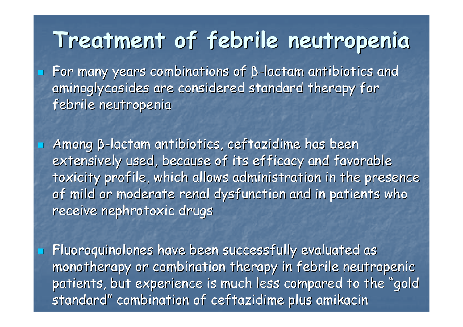### **Treatment of febrile neutropenia Treatment of febrile neutropenia**

 $\blacksquare$  For many years combinations of  $\beta$ -lactam antibiotics and aminoglycosides are considered standard therapy for febrile neutropenia

 $\mathbb{R}^2$ 

 $\mathbb{R}^2$  $\blacksquare$  Among β-lactam antibiotics, ceftazidime has been extensively used, because of its efficacy and favorable toxicity profile, which allows administration in the presence of mild or moderate renal dysfunction and in patients who receive nephrotoxic drugs

 $\mathbb{R}^2$ Fluoroquinolones have been successfully evaluated as monotherapy or combination therapy in febrile neutropenic patients, but experience is much less compared to the "gold standard" combination of ceftazidime plus amikacin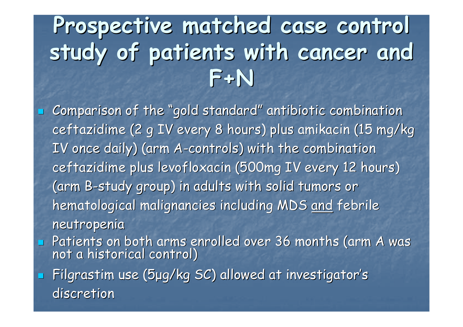## **Prospective matched case control Prospective matched case control study of patients with cancer and study of patients with cancer and F+N**

 $\blacksquare$  Comparison of the "gold standard" antibiotic combination ceftazidime (2 g IV every 8 hours) plus amikacin (15 mg/kg IV once daily) (arm A-controls) with the combination ceftazidime plus levofloxacin (500mg IV every 12 hours) (arm B-study group) in adults with solid tumors or  $\,$ hematological malignancies including MDS and febrile neutropenia neutropenia Patients on both arms enrolled over 36 months (arm A was not a historical control)

 $\blacksquare$  Filgrastim use (5 $\upmu$ g/kg SC) allowed at investigator's discretion

 $\mathbb{R}^2$ 

 $\mathbb{R}^2$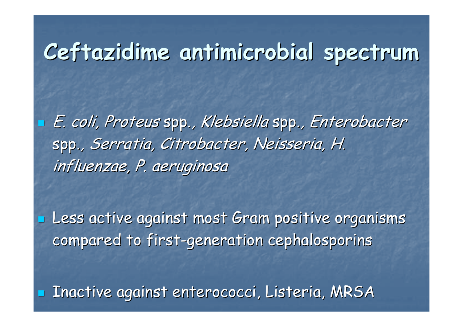## **Ceftazidime antimicrobial spectrum Ceftazidime antimicrobial spectrum**

 $\blacksquare$  E. coli, Proteus spp., Klebsiella spp., Enterobacter spp., *Serratia, Citrobacter, Neisseria, H.* influenzae, P. aeruginosa

 $\blacksquare$  Less active against most Gram positive organisms compared to first-generation cephalosporins

**E Inactive against enterococci, Listeria, MRSA**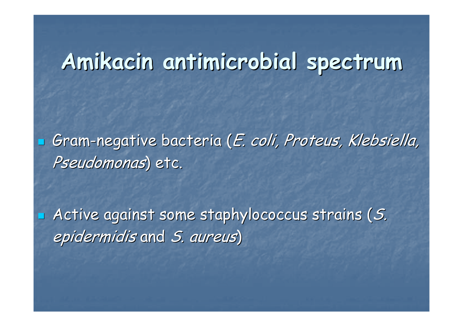### **Amikacin antimicrobial spectrum Amikacin antimicrobial spectrum**

 $\blacksquare$  Gram-negative bacteria (*E. coli, Proteus, Klebsiella,* Pseudomonas) etc.

 $\blacksquare$  Active against some staphylococcus strains (S. epidermidis and S. aureus)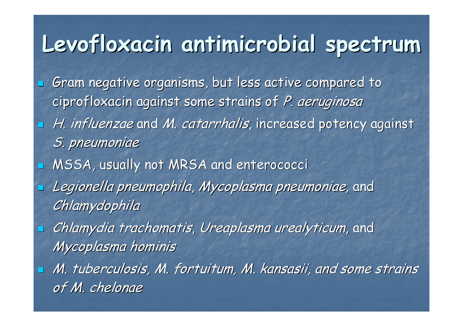## **Levofloxacin antimicrobial spectrum Levofloxacin antimicrobial spectrum**

 $\mathbb{R}^2$ Gram negative organisms, but less active compared to ciprofloxacin against some strains of P. aeruginosa  $\mathbb{R}^2$ H. influenzae and M. catarrhalis, increased potency against S. pneumoniae  $\mathbb{R}^2$ MSSA, usually not MRSA and enterococci  $\mathbb{R}^2$ Legionella pneumophila, Mycoplasma pneumoniae, and Chlamydophila  $\mathbb{R}^2$ Chlamydia trachomatis, Ureaplasma urealyticum, and Mycoplasma hominis  $\mathbb{R}^2$ M. tuberculosis, M. fortuitum, M. kansasii, and some strains of M. chelonae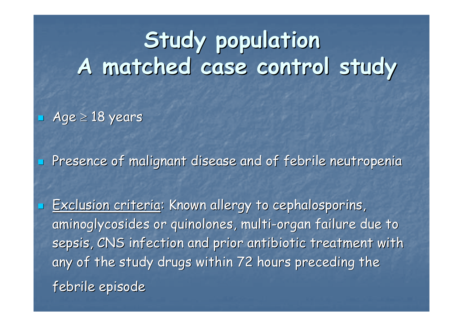## **Study population Study population A matched case control study A matched case control study**

■ Age ≥ 18 years

 $\mathbb{R}^2$ 

 $\mathbb{R}^2$ 

 $\mathbb{R}^2$ Presence of malignant disease and of febrile neutropenia

Exclusion criteria: Known allergy to cephalosporins, aminoglycosides or quinolones, multi-organ failure due to sepsis, CNS infection and prior antibiotic treatment with any of the study drugs within 72 hours preceding the febrile episode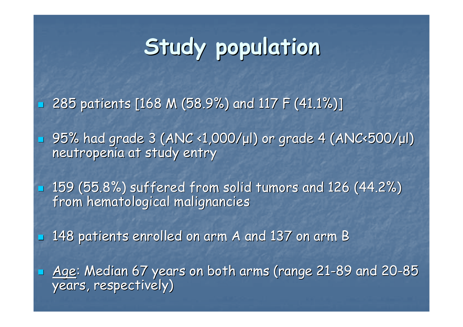# **Study population Study population**

 $\mathbb{R}^2$ 285 patients [168 M (58.9%) and 117 F (41.1%)] 285 patients [168 M (58.9%) and 117 F (41.1%)]

 $\mathbb{R}^2$ 

 $\mathbb{R}^2$ 

- 95% had grade 3 (ANC <1,000/µl) or grade 4 (ANC<500/µl) neutropenia at study entry
- $\textcolor{red}{\blacksquare}$  159 (55.8%) suffered from solid tumors and 126 (44.2%) from hematological malignancies
	- 148 patients enrolled on arm A and 137 on arm B 148 patients enrolled on arm A and 137 on arm B
- n Age: Median 67 years on both arms (range 21-89 and 20-85 years, respectively)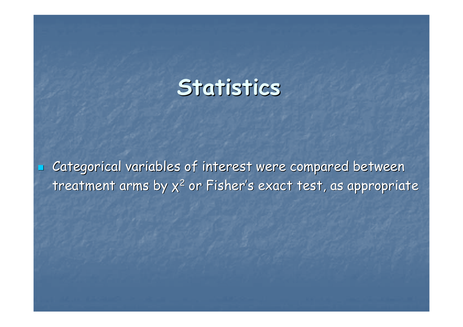#### **Statistics Statistics**

Categorical variables of interest were compared between treatment arms by  $x^2$  or Fisher's exact test, as appropriate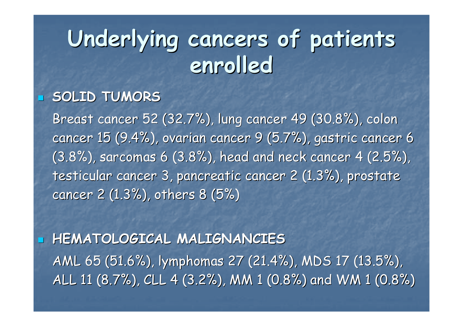## **Underlying cancers of patients Underlying cancers of patients enrolled enrolled**

#### **SOLID TUMORS SOLID TUMORS**

 $\mathbb{R}^2$ 

 $\mathbb{R}^2$ 

Breast cancer 52 (32.7%), lung cancer 49 (30.8%), colon cancer 15 (9.4%), ovarian cancer 9 (5.7%), gastric cancer 6 (3.8%), sarcomas 6 (3.8%), head and neck cancer 4 (2.5%), testicular cancer 3, pancreatic cancer 2 (1.3%), prostate cancer 2 (1.3%), others 8 (5%)

 **HEMATOLOGICAL MALIGNANCIES HEMATOLOGICAL MALIGNANCIES** AML 65 (51.6%), lymphomas 27 (21.4%), MDS 17 (13.5%), ALL 11 (8.7%), CLL 4 (3.2%), MM 1 (0.8%) and WM 1 (0.8%)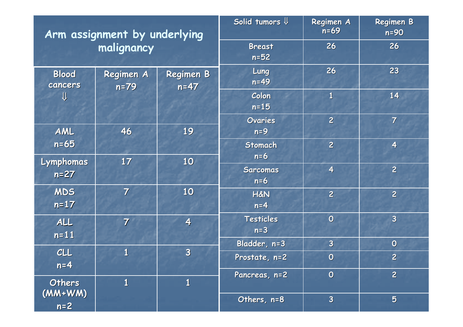| Arm assignment by underlying<br>malignancy |                     |                            | Solid tumors $\mathsf{\Psi}$ | Regimen A<br>$n=69$     | <b>Regimen B</b><br>$n=90$ |
|--------------------------------------------|---------------------|----------------------------|------------------------------|-------------------------|----------------------------|
|                                            |                     |                            | <b>Breast</b><br>$n=52$      | 26                      | 26                         |
| <b>Blood</b><br>cancers<br>⇓               | Regimen A<br>$n=79$ | <b>Regimen B</b><br>$n=47$ | Lung<br>$n=49$               | 26                      | 23                         |
|                                            |                     |                            | Colon<br>$n=15$              | $\mathbf{1}$            | 14                         |
| AML                                        | 46                  | 19                         | Ovaries<br>$n=9$             | $\overline{c}$          | $\overline{7}$             |
| $n=65$                                     |                     |                            | <b>Stomach</b><br>$n=6$      | $\overline{2}$          | $\overline{\mathbf{4}}$    |
| Lymphomas<br>$n=27$                        | 17                  | 10                         | <b>Sarcomas</b><br>$n=6$     | $\overline{\mathbf{4}}$ | $\overline{2}$             |
| <b>MDS</b><br>$n=17$                       | $\overline{7}$      | 10                         | <b>H&amp;N</b><br>$n=4$      | $\overline{2}$          | $\overline{2}$             |
| ALL<br>$n=11$                              | $\overline{7}$      | $\overline{\mathbf{4}}$    | <b>Testicles</b><br>$n=3$    | $\overline{0}$          | $\overline{\mathbf{3}}$    |
|                                            |                     |                            | Bladder, n=3                 | $\overline{\mathbf{3}}$ | $\boldsymbol{0}$           |
| CLL<br>$n=4$                               | $\mathbf{1}$        | $\overline{\mathbf{3}}$    | Prostate, n=2                | $\boldsymbol{0}$        | $\overline{2}$             |
| <b>Others</b><br>$(MW+WM)$<br>$n=2$        | $\mathbf{1}$        | $\mathbf{1}$               | Pancreas, n=2                | $\boldsymbol{0}$        | $\overline{2}$             |
|                                            |                     |                            | Others, n=8                  | $\overline{\mathbf{3}}$ | $5\phantom{1}$             |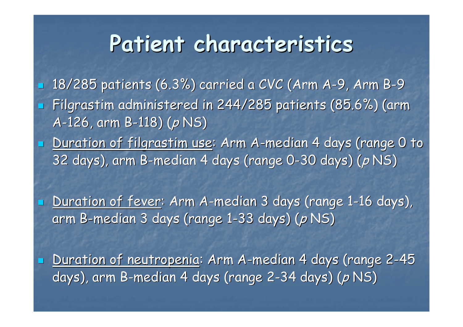### **Patient characteristics Patient characteristics**

 $\mathbb{R}^2$  $\textcolor{red}{\bullet}$  18/285 patients (6.3%) carried a CVC (Arm A-9, Arm B - 9  $\mathbb{R}^2$ Filgrastim administered in 244/285 patients (85.6%) (arm A-126, arm B-118) (p NS)

 $\mathbb{R}^2$ **Duration of filgrastim use: Arm A-median 4 days (range 0 to median 4** 32 days), arm B-median 4 days (range 0-30 days) (*p* NS)

**- Duration of fever: Arm A-median 3 days (range 1-16 days),** arm B-median 3 days (range 1-33 days) (*p* NS)

 $\mathbb{R}^2$ 

 $\mathbb{R}^2$ 

**- <u>Duration of neutropenia</u>: Arm A-median 4 days (range 2-45** days), arm B-median 4 days (range 2-34 days) (*p* NS)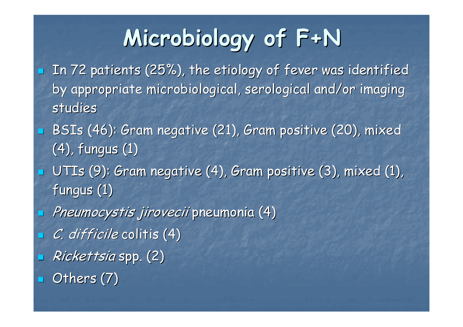# **Microbiology of F+N Microbiology of F+N**

- In 72 patients (25%), the etiology of fever was identified by appropriate microbiological, serological and/or imaging studies
- BSIs (46): Gram negative (21), Gram positive (20), mixed  $(4)$ , fungus  $(1)$
- $\mathbb{R}^2$  $\blacksquare$  UTIs (9): Gram negative (4), Gram positive (3), mixed (1), fungus  $(1)$
- $\mathbb{R}^2$  $\Box$  Pneumocystis jirovecii pneumonia (4)
- $\mathbb{R}^2$  $C.$  difficile colitis  $(4)$
- $\mathbb{R}^2$ Rickettsia spp. (2)
- $\mathbb{R}^2$ Others (7)

 $\mathbb{R}^2$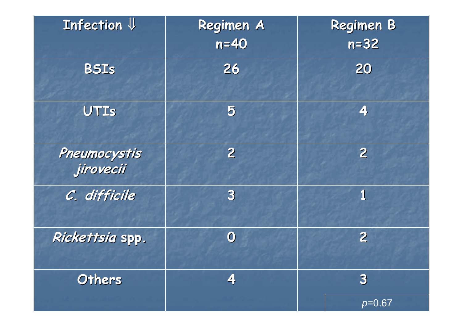| Infection $\Downarrow$    | Regimen A<br>$n=40$     | <b>Regimen B</b><br>$n = 32$ |  |
|---------------------------|-------------------------|------------------------------|--|
| <b>BSIS</b>               | 26                      | 20                           |  |
| UTIS                      | 5                       | 4                            |  |
| Pneumocystis<br>jirovecii | $\overline{2}$          | $\overline{2}$               |  |
| C. difficile              | $\overline{\mathbf{3}}$ | 1                            |  |
| Rickettsia spp.           | $\mathbf{O}$            | $\overline{2}$               |  |
| Others                    | 4                       | $\bf{3}$                     |  |
|                           |                         | $p=0.67$                     |  |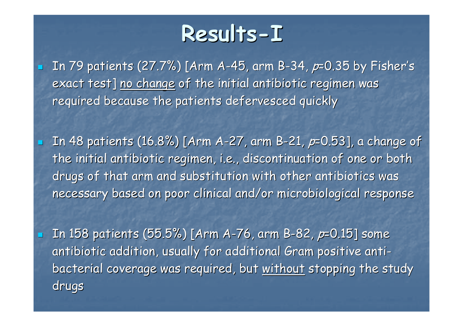### **Results Results-I**

In 79 patients (27.7%) [Arm A-45, arm B-34,  $p=0.35$  by Fisher's exact test] no change of the initial antibiotic regimen was required because the patients defervesced quickly

 $\mathbb{R}^2$ 

In 48 patients (16.8%) [Arm A-27, arm B-21,  $p=0.53$ ], a change of the initial antibiotic regimen, i.e., discontinuation of one or both drugs of that arm and substitution with other antibiotics was necessary based on poor clinical and/or microbiological response

In 158 patients (55.5%) [Arm A-76, arm B-82,  $p=0.15$ ] some antibiotic addition, usually for additional Gram positive antibacterial coverage was required, but without stopping the study drugs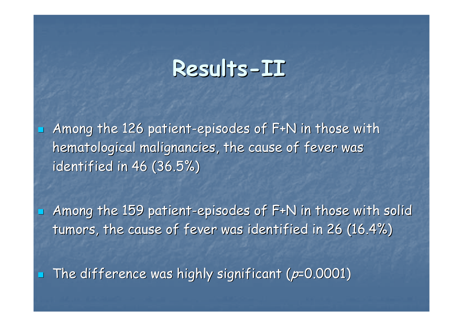#### **Results Results-II**

 $\mathbb{R}^2$ Among the 126 patient-episodes of  $F+N$  in those with hematological malignancies, the cause of fever was identified in  $46$  (36.5%)

Among the 159 patient-episodes of F+N in those with solid tumors, the cause of fever was identified in 26 (16.4%)

 $\mathbb{R}^2$ The difference was highly significant ( $p=0.0001$ )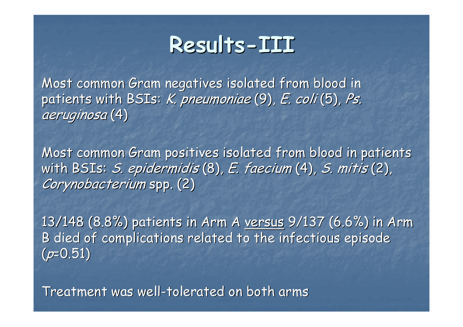#### **Results Results-III**

Most common Gram negatives isolated from blood in patients with BSIs: K. pneumoniae  $(9)$ , E. coli  $(5)$ , Ps. aeruginosa (4)

Most common Gram positives isolated from blood in patients with BSIs: S. epidermidis (8), E. faecium (4), S. mitis (2), Corynobacterium spp. (2)

13/148 (8.8%) patients in Arm A versus 9/137 (6.6%) in Arm B died of complications related to the infectious episode  $(p=0.51)$ 

Treatment was well-tolerated on both arms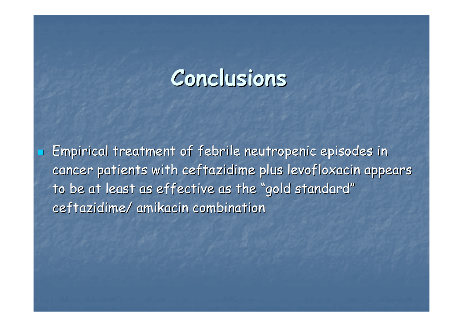#### **Conclusions Conclusions**

 Empirical treatment of febrile neutropenic episodes in Empirical treatment of febrile neutropenic episodes in cancer patients with ceftazidime plus levofloxacin appears to be at least as effective as the "gold standard" ceftazidime/ amikacin combination